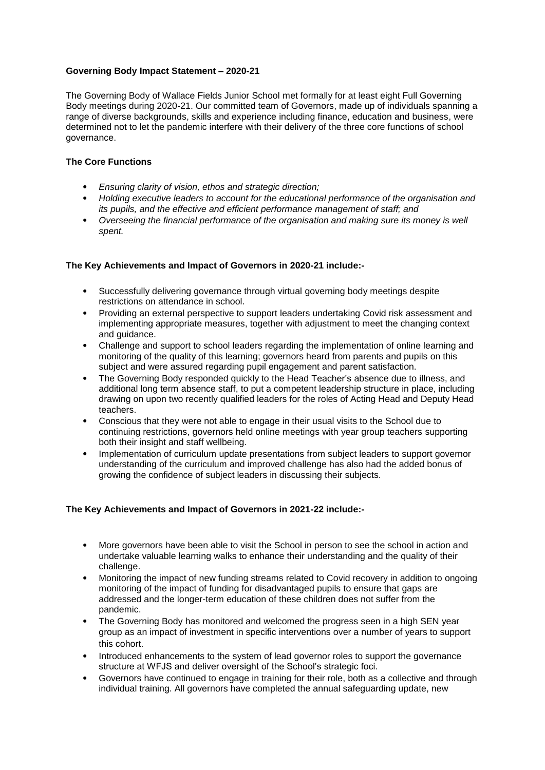## **Governing Body Impact Statement – 2020-21**

The Governing Body of Wallace Fields Junior School met formally for at least eight Full Governing Body meetings during 2020-21. Our committed team of Governors, made up of individuals spanning a range of diverse backgrounds, skills and experience including finance, education and business, were determined not to let the pandemic interfere with their delivery of the three core functions of school governance.

## **The Core Functions**

- *Ensuring clarity of vision, ethos and strategic direction;*
- *Holding executive leaders to account for the educational performance of the organisation and its pupils, and the effective and efficient performance management of staff; and*
- *Overseeing the financial performance of the organisation and making sure its money is well spent.*

## **The Key Achievements and Impact of Governors in 2020-21 include:-**

- Successfully delivering governance through virtual governing body meetings despite restrictions on attendance in school.
- Providing an external perspective to support leaders undertaking Covid risk assessment and implementing appropriate measures, together with adjustment to meet the changing context and guidance.
- Challenge and support to school leaders regarding the implementation of online learning and monitoring of the quality of this learning; governors heard from parents and pupils on this subject and were assured regarding pupil engagement and parent satisfaction.
- The Governing Body responded quickly to the Head Teacher's absence due to illness, and additional long term absence staff, to put a competent leadership structure in place, including drawing on upon two recently qualified leaders for the roles of Acting Head and Deputy Head teachers.
- Conscious that they were not able to engage in their usual visits to the School due to continuing restrictions, governors held online meetings with year group teachers supporting both their insight and staff wellbeing.
- Implementation of curriculum update presentations from subject leaders to support governor understanding of the curriculum and improved challenge has also had the added bonus of growing the confidence of subject leaders in discussing their subjects.

## **The Key Achievements and Impact of Governors in 2021-22 include:-**

- More governors have been able to visit the School in person to see the school in action and undertake valuable learning walks to enhance their understanding and the quality of their challenge.
- Monitoring the impact of new funding streams related to Covid recovery in addition to ongoing monitoring of the impact of funding for disadvantaged pupils to ensure that gaps are addressed and the longer-term education of these children does not suffer from the pandemic.
- The Governing Body has monitored and welcomed the progress seen in a high SEN year group as an impact of investment in specific interventions over a number of years to support this cohort.
- Introduced enhancements to the system of lead governor roles to support the governance structure at WFJS and deliver oversight of the School's strategic foci.
- Governors have continued to engage in training for their role, both as a collective and through individual training. All governors have completed the annual safeguarding update, new